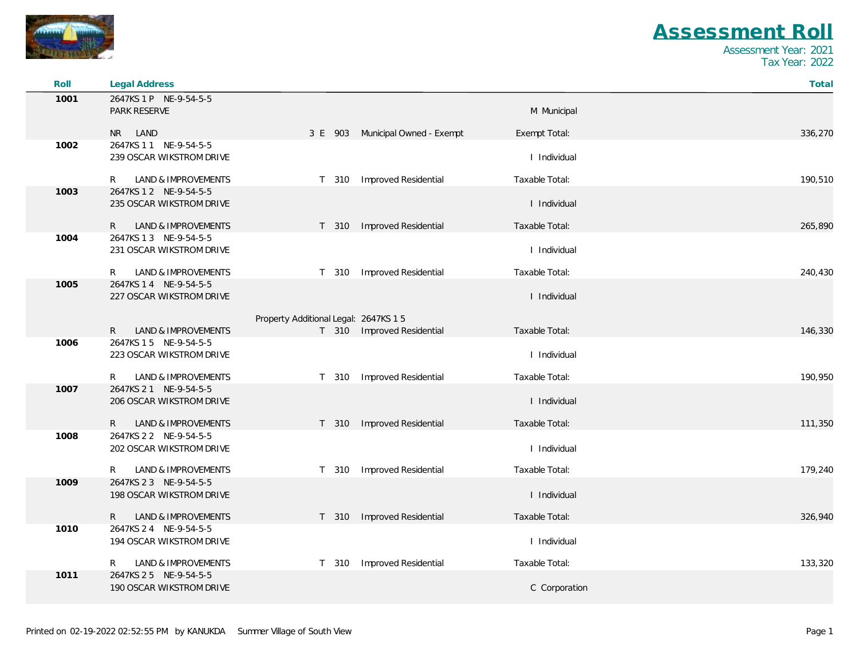

| Roll | Legal Address                                      |                                       |                                  |                | Total   |
|------|----------------------------------------------------|---------------------------------------|----------------------------------|----------------|---------|
| 1001 | 2647KS 1 P NE-9-54-5-5<br>PARK RESERVE             |                                       |                                  | M Municipal    |         |
|      | NR LAND                                            |                                       | 3 E 903 Municipal Owned - Exempt | Exempt Total:  | 336,270 |
| 1002 | 2647KS 1 1 NE-9-54-5-5<br>239 OSCAR WIKSTROM DRIVE |                                       |                                  | I Individual   |         |
|      | LAND & IMPROVEMENTS<br>R                           | T 310                                 | Improved Residential             | Taxable Total: | 190,510 |
| 1003 | 2647KS 1 2 NE-9-54-5-5<br>235 OSCAR WIKSTROM DRIVE |                                       |                                  | I Individual   |         |
|      | R<br>LAND & IMPROVEMENTS                           |                                       | T 310 Improved Residential       | Taxable Total: | 265,890 |
| 1004 | 2647KS 1 3 NE-9-54-5-5<br>231 OSCAR WIKSTROM DRIVE |                                       |                                  | I Individual   |         |
|      | <b>LAND &amp; IMPROVEMENTS</b><br>R                | T 310                                 | Improved Residential             | Taxable Total: | 240,430 |
| 1005 | 2647KS 1 4 NE-9-54-5-5<br>227 OSCAR WIKSTROM DRIVE |                                       |                                  | I Individual   |         |
|      | LAND & IMPROVEMENTS<br>R.                          | Property Additional Legal: 2647KS 1 5 | T 310 Improved Residential       | Taxable Total: | 146,330 |
| 1006 | 2647KS 15 NE-9-54-5-5<br>223 OSCAR WIKSTROM DRIVE  |                                       |                                  | I Individual   |         |
|      | LAND & IMPROVEMENTS<br>R                           |                                       | T 310 Improved Residential       | Taxable Total: | 190,950 |
| 1007 | 2647KS 2 1 NE-9-54-5-5<br>206 OSCAR WIKSTROM DRIVE |                                       |                                  | I Individual   |         |
|      | LAND & IMPROVEMENTS<br>$\mathsf{R}$                | T 310                                 | <b>Improved Residential</b>      | Taxable Total: | 111,350 |
| 1008 | 2647KS 2 2 NE-9-54-5-5<br>202 OSCAR WIKSTROM DRIVE |                                       |                                  | I Individual   |         |
|      | LAND & IMPROVEMENTS<br>R                           | T 310                                 | Improved Residential             | Taxable Total: | 179,240 |
| 1009 | 2647KS 2 3 NE-9-54-5-5<br>198 OSCAR WIKSTROM DRIVE |                                       |                                  | I Individual   |         |
|      | LAND & IMPROVEMENTS<br>R.                          | T 310                                 | Improved Residential             | Taxable Total: | 326,940 |
| 1010 | 2647KS 2 4 NE-9-54-5-5<br>194 OSCAR WIKSTROM DRIVE |                                       |                                  | I Individual   |         |
|      | LAND & IMPROVEMENTS<br>R                           | T 310                                 | <b>Improved Residential</b>      | Taxable Total: | 133,320 |
| 1011 | 2647KS 2 5 NE-9-54-5-5<br>190 OSCAR WIKSTROM DRIVE |                                       |                                  | C Corporation  |         |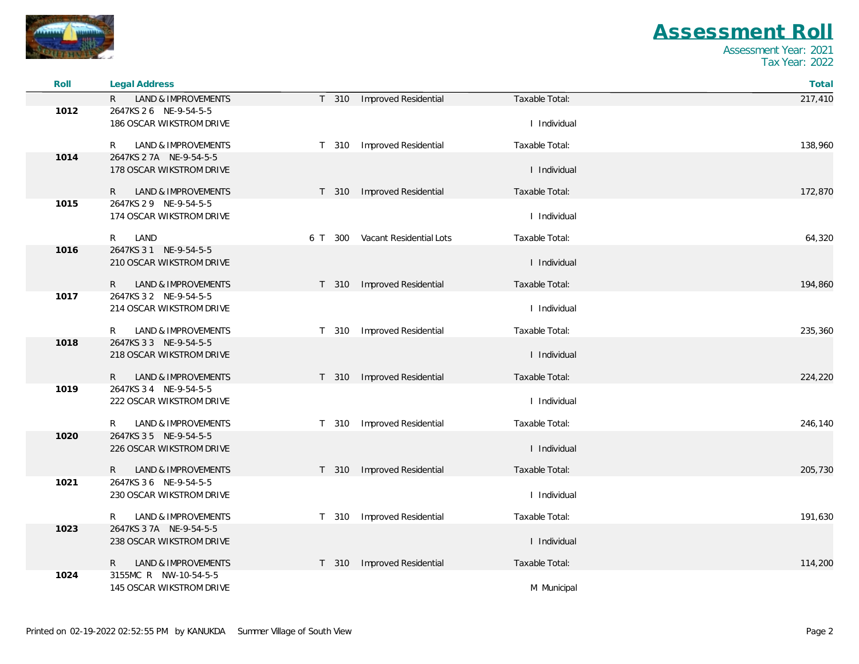

 $\sim$ 

## *Assessment Roll*

| Roll | Legal Address                                  |                                          |                | Total   |
|------|------------------------------------------------|------------------------------------------|----------------|---------|
|      | <b>LAND &amp; IMPROVEMENTS</b><br>$\mathsf{R}$ | T 310<br>Improved Residential            | Taxable Total: | 217,410 |
| 1012 | 2647KS 2 6 NE-9-54-5-5                         |                                          |                |         |
|      | 186 OSCAR WIKSTROM DRIVE                       |                                          | I Individual   |         |
|      | <b>LAND &amp; IMPROVEMENTS</b><br>R            | Improved Residential<br>T 310            | Taxable Total: | 138,960 |
| 1014 | 2647KS 2 7A NE-9-54-5-5                        |                                          |                |         |
|      | 178 OSCAR WIKSTROM DRIVE                       |                                          | I Individual   |         |
|      |                                                |                                          |                |         |
|      | LAND & IMPROVEMENTS<br>R                       | <b>Improved Residential</b><br>T 310     | Taxable Total: | 172,870 |
| 1015 | 2647KS 2 9 NE-9-54-5-5                         |                                          |                |         |
|      | 174 OSCAR WIKSTROM DRIVE                       |                                          | I Individual   |         |
|      | LAND<br>R.                                     | Vacant Residential Lots<br>6 T 300       | Taxable Total: | 64,320  |
| 1016 | 2647KS 3 1 NE-9-54-5-5                         |                                          |                |         |
|      | 210 OSCAR WIKSTROM DRIVE                       |                                          | I Individual   |         |
|      | LAND & IMPROVEMENTS<br>R.                      | Improved Residential<br>T 310            | Taxable Total: | 194,860 |
| 1017 | 2647KS 3 2 NE-9-54-5-5                         |                                          |                |         |
|      | 214 OSCAR WIKSTROM DRIVE                       |                                          | I Individual   |         |
|      | LAND & IMPROVEMENTS<br>R                       | Improved Residential<br>T 310            | Taxable Total: | 235,360 |
| 1018 | 2647KS 3 3 NE-9-54-5-5                         |                                          |                |         |
|      | 218 OSCAR WIKSTROM DRIVE                       |                                          | I Individual   |         |
|      | LAND & IMPROVEMENTS<br>R                       | Improved Residential<br>T 310            | Taxable Total: | 224,220 |
| 1019 | 2647KS 3 4 NE-9-54-5-5                         |                                          |                |         |
|      | 222 OSCAR WIKSTROM DRIVE                       |                                          | I Individual   |         |
|      |                                                |                                          |                |         |
|      | <b>LAND &amp; IMPROVEMENTS</b><br>R            | Improved Residential<br>T 310            | Taxable Total: | 246,140 |
| 1020 | 2647KS 3 5 NE-9-54-5-5                         |                                          |                |         |
|      | 226 OSCAR WIKSTROM DRIVE                       |                                          | I Individual   |         |
|      | $\mathsf{R}$<br>LAND & IMPROVEMENTS            | Improved Residential<br>T 310            | Taxable Total: | 205,730 |
| 1021 | 2647KS 3 6 NE-9-54-5-5                         |                                          |                |         |
|      | 230 OSCAR WIKSTROM DRIVE                       |                                          | I Individual   |         |
|      | <b>LAND &amp; IMPROVEMENTS</b><br>R            | Improved Residential<br>T 310            | Taxable Total: | 191,630 |
| 1023 | 2647KS 3 7A NE-9-54-5-5                        |                                          |                |         |
|      | 238 OSCAR WIKSTROM DRIVE                       |                                          | I Individual   |         |
|      |                                                |                                          |                |         |
|      | LAND & IMPROVEMENTS<br>R.                      | Improved Residential<br>T <sub>310</sub> | Taxable Total: | 114,200 |
| 1024 | 3155MC R NW-10-54-5-5                          |                                          |                |         |
|      | 145 OSCAR WIKSTROM DRIVE                       |                                          | M Municipal    |         |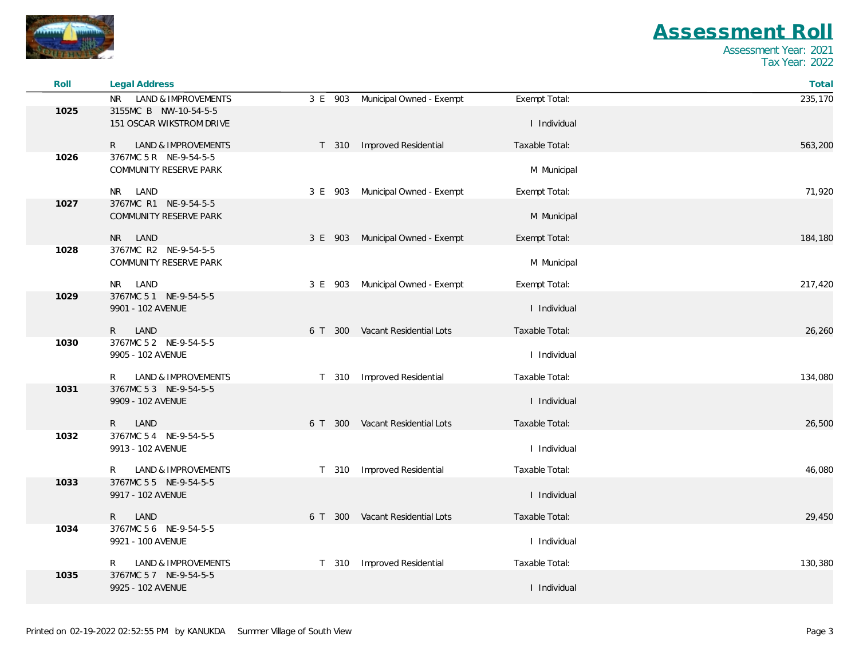

| Roll | <b>Legal Address</b>                                   |                                     |                | Total   |
|------|--------------------------------------------------------|-------------------------------------|----------------|---------|
|      | <b>LAND &amp; IMPROVEMENTS</b><br><b>NR</b>            | 3 E 903<br>Municipal Owned - Exempt | Exempt Total:  | 235,170 |
| 1025 | 3155MC B NW-10-54-5-5<br>151 OSCAR WIKSTROM DRIVE      |                                     | I Individual   |         |
|      | LAND & IMPROVEMENTS<br>R                               | Improved Residential<br>T 310       | Taxable Total: | 563,200 |
| 1026 | 3767MC 5 R NE-9-54-5-5<br>COMMUNITY RESERVE PARK       |                                     | M Municipal    |         |
|      | LAND<br>NR                                             | 3 E 903 Municipal Owned - Exempt    | Exempt Total:  | 71,920  |
| 1027 | 3767MC R1 NE-9-54-5-5<br><b>COMMUNITY RESERVE PARK</b> |                                     | M Municipal    |         |
|      | NR I<br>LAND                                           | 3 E 903 Municipal Owned - Exempt    | Exempt Total:  | 184,180 |
| 1028 | 3767MC R2 NE-9-54-5-5<br>COMMUNITY RESERVE PARK        |                                     | M Municipal    |         |
|      | LAND<br>NR.                                            | Municipal Owned - Exempt<br>3 E 903 | Exempt Total:  | 217,420 |
| 1029 | 3767MC 5 1 NE-9-54-5-5<br>9901 - 102 AVENUE            |                                     | I Individual   |         |
|      | LAND<br>R                                              | 6 T 300 Vacant Residential Lots     | Taxable Total: | 26,260  |
| 1030 | 3767MC 5 2 NE-9-54-5-5<br>9905 - 102 AVENUE            |                                     | I Individual   |         |
|      | R<br>LAND & IMPROVEMENTS                               | Improved Residential<br>T 310       | Taxable Total: | 134,080 |
| 1031 | 3767MC 5 3 NE-9-54-5-5<br>9909 - 102 AVENUE            |                                     | I Individual   |         |
|      | $\mathsf{R}$<br>LAND                                   | 6 T 300 Vacant Residential Lots     | Taxable Total: | 26,500  |
| 1032 | 3767MC 5 4 NE-9-54-5-5<br>9913 - 102 AVENUE            |                                     | I Individual   |         |
|      | R<br>LAND & IMPROVEMENTS                               | Improved Residential<br>T 310       | Taxable Total: | 46,080  |
| 1033 | 3767MC 55 NE-9-54-5-5<br>9917 - 102 AVENUE             |                                     | I Individual   |         |
|      | LAND<br>R                                              | 6 T 300 Vacant Residential Lots     | Taxable Total: | 29,450  |
| 1034 | 3767MC 56 NE-9-54-5-5<br>9921 - 100 AVENUE             |                                     | I Individual   |         |
|      | <b>LAND &amp; IMPROVEMENTS</b><br>R.                   | Improved Residential<br>T 310       | Taxable Total: | 130,380 |
| 1035 | 3767MC 57 NE-9-54-5-5<br>9925 - 102 AVENUE             |                                     | I Individual   |         |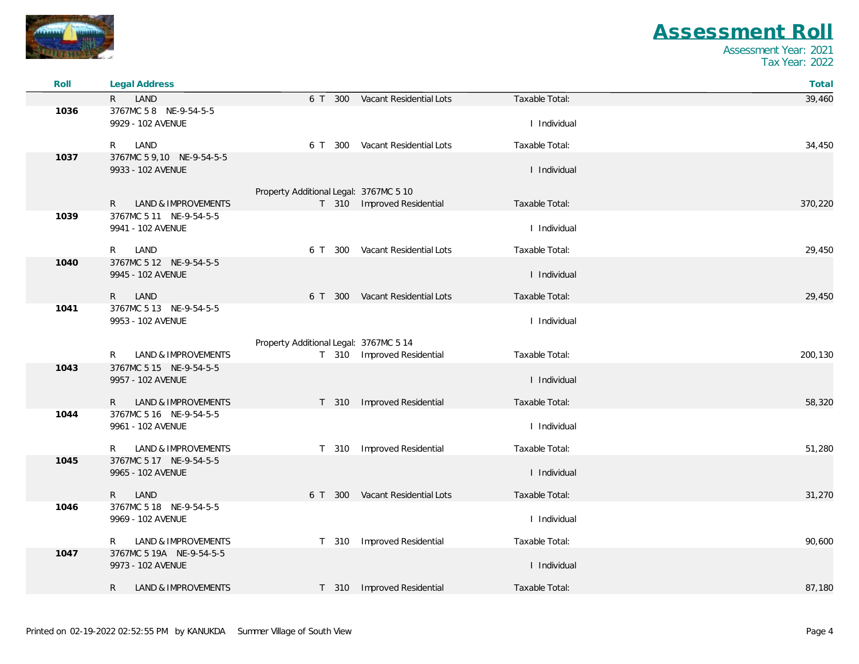

| Roll | Legal Address                                  |                                        |                                 |                | Total   |
|------|------------------------------------------------|----------------------------------------|---------------------------------|----------------|---------|
|      | LAND<br>R                                      | 6 T 300                                | Vacant Residential Lots         | Taxable Total: | 39,460  |
| 1036 | 3767MC 58 NE-9-54-5-5<br>9929 - 102 AVENUE     |                                        |                                 | I Individual   |         |
|      | LAND<br>R.                                     |                                        | 6 T 300 Vacant Residential Lots | Taxable Total: | 34,450  |
| 1037 | 3767MC 5 9,10 NE-9-54-5-5<br>9933 - 102 AVENUE |                                        |                                 | I Individual   |         |
|      |                                                | Property Additional Legal: 3767MC 5 10 |                                 |                |         |
| 1039 | LAND & IMPROVEMENTS<br>R.                      |                                        | T 310 Improved Residential      | Taxable Total: | 370,220 |
|      | 3767MC 5 11 NE-9-54-5-5<br>9941 - 102 AVENUE   |                                        |                                 | I Individual   |         |
|      | LAND<br>R.                                     | 6 T 300                                | Vacant Residential Lots         | Taxable Total: | 29,450  |
| 1040 | 3767MC 5 12 NE-9-54-5-5<br>9945 - 102 AVENUE   |                                        |                                 | I Individual   |         |
|      | LAND<br>$R_{\perp}$                            |                                        | 6 T 300 Vacant Residential Lots | Taxable Total: | 29,450  |
| 1041 | 3767MC 5 13 NE-9-54-5-5<br>9953 - 102 AVENUE   |                                        |                                 | I Individual   |         |
|      |                                                | Property Additional Legal: 3767MC 5 14 |                                 |                |         |
|      | LAND & IMPROVEMENTS<br>R.                      |                                        | T 310 Improved Residential      | Taxable Total: | 200,130 |
| 1043 | 3767MC 5 15 NE-9-54-5-5<br>9957 - 102 AVENUE   |                                        |                                 | I Individual   |         |
|      | $R_{\perp}$<br>LAND & IMPROVEMENTS             |                                        | T 310 Improved Residential      | Taxable Total: | 58,320  |
| 1044 | 3767MC 5 16 NE-9-54-5-5<br>9961 - 102 AVENUE   |                                        |                                 | I Individual   |         |
|      | LAND & IMPROVEMENTS<br>R                       | T 310                                  | Improved Residential            | Taxable Total: | 51,280  |
| 1045 | 3767MC 5 17 NE-9-54-5-5<br>9965 - 102 AVENUE   |                                        |                                 | I Individual   |         |
|      | LAND<br>R.                                     | 6 T 300                                | Vacant Residential Lots         | Taxable Total: | 31,270  |
| 1046 | 3767MC 5 18 NE-9-54-5-5<br>9969 - 102 AVENUE   |                                        |                                 | I Individual   |         |
|      | LAND & IMPROVEMENTS<br>R.                      |                                        | T 310 Improved Residential      | Taxable Total: | 90,600  |
| 1047 | 3767MC 5 19A NE-9-54-5-5<br>9973 - 102 AVENUE  |                                        |                                 | I Individual   |         |
|      | <b>LAND &amp; IMPROVEMENTS</b><br>R.           |                                        | T 310 Improved Residential      | Taxable Total: | 87,180  |
|      |                                                |                                        |                                 |                |         |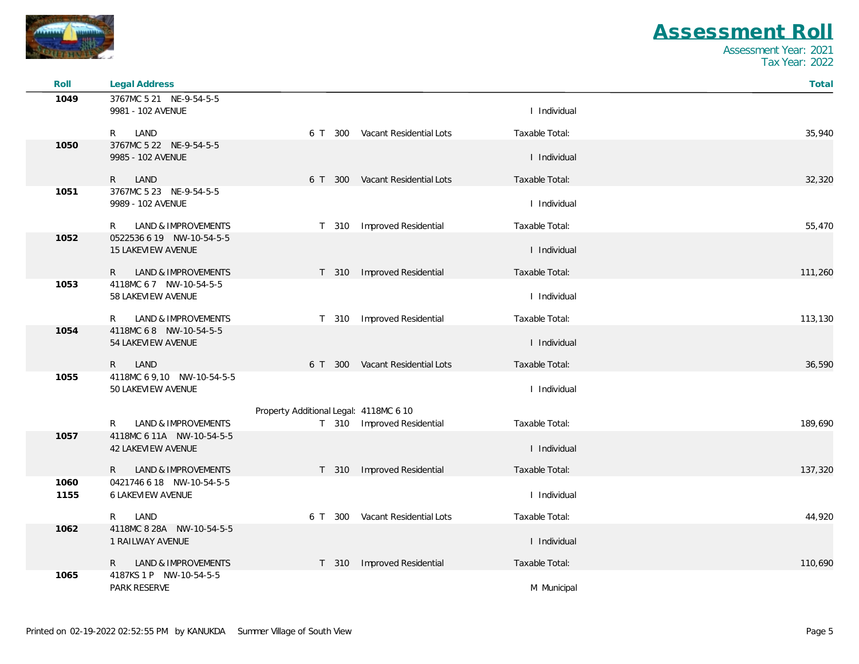

| Roll         | Legal Address                                          |                                        |                                 |                | Total   |
|--------------|--------------------------------------------------------|----------------------------------------|---------------------------------|----------------|---------|
| 1049         | 3767MC 5 21 NE-9-54-5-5                                |                                        |                                 |                |         |
|              | 9981 - 102 AVENUE                                      |                                        |                                 | I Individual   |         |
|              | LAND<br>R                                              |                                        | 6 T 300 Vacant Residential Lots | Taxable Total: | 35,940  |
| 1050         | 3767MC 5 22 NE-9-54-5-5<br>9985 - 102 AVENUE           |                                        |                                 | I Individual   |         |
|              | LAND<br>$\mathsf{R}$                                   |                                        | 6 T 300 Vacant Residential Lots | Taxable Total: | 32,320  |
| 1051         | 3767MC 5 23 NE-9-54-5-5<br>9989 - 102 AVENUE           |                                        |                                 | I Individual   |         |
|              | LAND & IMPROVEMENTS<br>R                               | T 310                                  | Improved Residential            | Taxable Total: | 55,470  |
| 1052         | 0522536 6 19 NW-10-54-5-5<br><b>15 LAKEVIEW AVENUE</b> |                                        |                                 | I Individual   |         |
|              | LAND & IMPROVEMENTS<br>R.                              |                                        | T 310 Improved Residential      | Taxable Total: | 111,260 |
| 1053         | 4118MC 67 NW-10-54-5-5<br>58 LAKEVIEW AVENUE           |                                        |                                 | I Individual   |         |
|              | LAND & IMPROVEMENTS<br>R                               | T 310                                  | Improved Residential            | Taxable Total: | 113,130 |
| 1054         | 4118MC 68 NW-10-54-5-5<br>54 LAKEVIEW AVENUE           |                                        |                                 | I Individual   |         |
|              | LAND<br>$\mathsf{R}$                                   |                                        | 6 T 300 Vacant Residential Lots | Taxable Total: | 36,590  |
| 1055         | 4118MC 6 9,10 NW-10-54-5-5<br>50 LAKEVIEW AVENUE       |                                        |                                 | I Individual   |         |
|              |                                                        | Property Additional Legal: 4118MC 6 10 |                                 |                |         |
|              | LAND & IMPROVEMENTS<br>R                               |                                        | T 310 Improved Residential      | Taxable Total: | 189,690 |
| 1057         | 4118MC 6 11A NW-10-54-5-5<br><b>42 LAKEVIEW AVENUE</b> |                                        |                                 | I Individual   |         |
|              | $\mathsf{R}$<br>LAND & IMPROVEMENTS                    |                                        | T 310 Improved Residential      | Taxable Total: | 137,320 |
| 1060<br>1155 | 0421746 6 18 NW-10-54-5-5<br><b>6 LAKEVIEW AVENUE</b>  |                                        |                                 | I Individual   |         |
|              | LAND<br>R                                              | 6 T 300                                | Vacant Residential Lots         | Taxable Total: | 44,920  |
| 1062         | 4118MC 8 28A NW-10-54-5-5<br>1 RAILWAY AVENUE          |                                        |                                 | I Individual   |         |
|              | $\mathsf{R}$<br>LAND & IMPROVEMENTS                    |                                        | T 310 Improved Residential      | Taxable Total: | 110,690 |
| 1065         | 4187KS 1 P NW-10-54-5-5<br><b>PARK RESERVE</b>         |                                        |                                 | M Municipal    |         |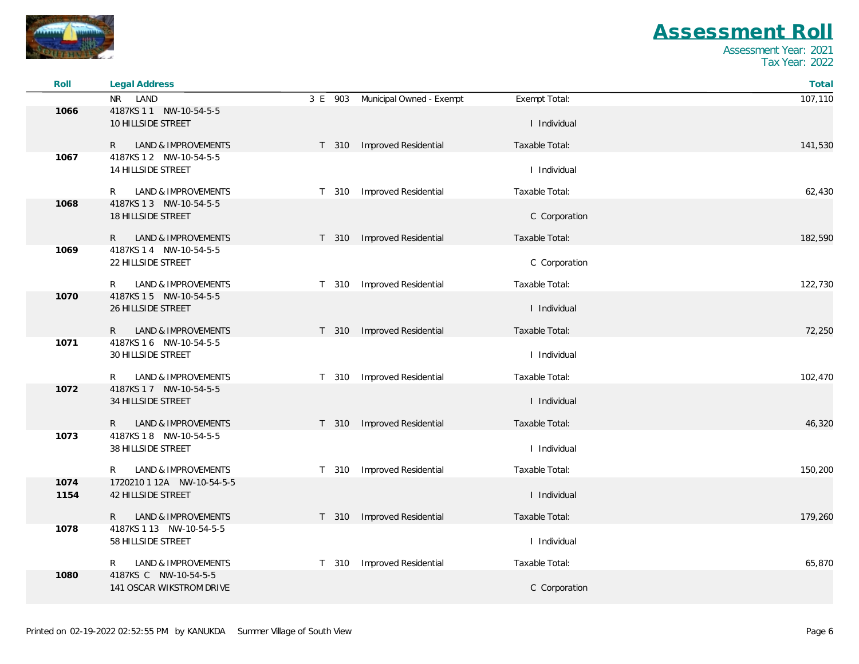

| Roll         | Legal Address                                     |                                  |                                        | Total   |
|--------------|---------------------------------------------------|----------------------------------|----------------------------------------|---------|
|              | NR LAND                                           | 3 E 903 Municipal Owned - Exempt | Exempt Total:                          | 107,110 |
| 1066         | 4187KS 1 1 NW-10-54-5-5<br>10 HILLSIDE STREET     |                                  | I Individual                           |         |
|              | LAND & IMPROVEMENTS<br>R.                         | T 310 Improved Residential       | Taxable Total:                         | 141,530 |
| 1067         | 4187KS 1 2 NW-10-54-5-5<br>14 HILLSIDE STREET     |                                  | I Individual                           |         |
|              | LAND & IMPROVEMENTS<br>R.                         | T 310 Improved Residential       | Taxable Total:                         | 62,430  |
| 1068         | 4187KS 1 3 NW-10-54-5-5<br>18 HILLSIDE STREET     |                                  | C Corporation                          |         |
|              | $\mathsf{R}$<br>LAND & IMPROVEMENTS               | T 310 Improved Residential       | Taxable Total:                         | 182,590 |
| 1069         | 4187KS 1 4 NW-10-54-5-5<br>22 HILLSIDE STREET     |                                  | C Corporation                          |         |
|              | LAND & IMPROVEMENTS<br>R.                         | T 310 Improved Residential       | Taxable Total:                         | 122,730 |
| 1070         | 4187KS 1 5 NW-10-54-5-5<br>26 HILLSIDE STREET     |                                  | I Individual                           |         |
|              | LAND & IMPROVEMENTS<br>R.                         | T 310 Improved Residential       | Taxable Total:                         | 72,250  |
| 1071         | 4187KS 1 6 NW-10-54-5-5<br>30 HILLSIDE STREET     |                                  | I Individual                           |         |
|              | LAND & IMPROVEMENTS<br>R.                         | T 310 Improved Residential       | Taxable Total:                         | 102,470 |
| 1072         | 4187KS 1 7 NW-10-54-5-5<br>34 HILLSIDE STREET     |                                  | I Individual                           |         |
|              | LAND & IMPROVEMENTS<br>$\mathsf{R}$               | T 310 Improved Residential       | Taxable Total:                         | 46,320  |
| 1073         | 4187KS 18 NW-10-54-5-5<br>38 HILLSIDE STREET      |                                  | I Individual                           |         |
|              | LAND & IMPROVEMENTS<br>R.                         | T 310                            | Improved Residential<br>Taxable Total: | 150,200 |
| 1074<br>1154 | 1720210 1 12A NW-10-54-5-5<br>42 HILLSIDE STREET  |                                  | I Individual                           |         |
|              | LAND & IMPROVEMENTS<br>R.                         | T 310 Improved Residential       | Taxable Total:                         | 179,260 |
| 1078         | 4187KS 1 13 NW-10-54-5-5<br>58 HILLSIDE STREET    |                                  | I Individual                           |         |
|              | LAND & IMPROVEMENTS<br>R.                         | T 310                            | Improved Residential<br>Taxable Total: | 65,870  |
| 1080         | 4187KS C NW-10-54-5-5<br>141 OSCAR WIKSTROM DRIVE |                                  | C Corporation                          |         |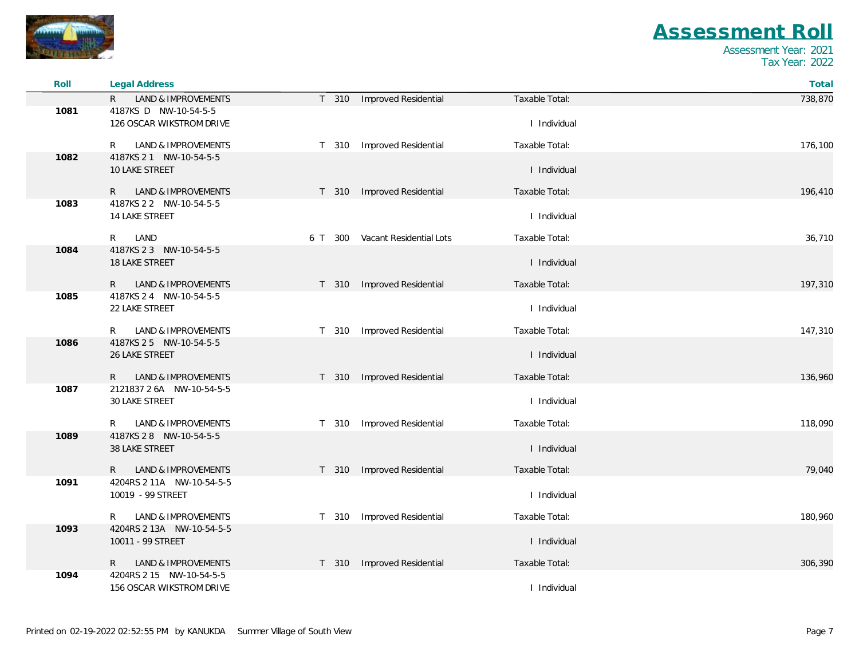

 $\sim$ 

## *Assessment Roll*

| Roll | <b>Legal Address</b>                                 |                                 |                | Total   |
|------|------------------------------------------------------|---------------------------------|----------------|---------|
|      | LAND & IMPROVEMENTS<br>$\mathsf{R}$                  | T 310<br>Improved Residential   | Taxable Total: | 738,870 |
| 1081 | 4187KS D NW-10-54-5-5<br>126 OSCAR WIKSTROM DRIVE    |                                 | I Individual   |         |
|      | <b>LAND &amp; IMPROVEMENTS</b><br>R                  | Improved Residential<br>T 310   | Taxable Total: | 176,100 |
| 1082 | 4187KS 2 1 NW-10-54-5-5<br>10 LAKE STREET            |                                 | I Individual   |         |
|      | LAND & IMPROVEMENTS<br>R                             | T 310 Improved Residential      | Taxable Total: | 196,410 |
| 1083 | 4187KS 2 2 NW-10-54-5-5<br>14 LAKE STREET            |                                 | I Individual   |         |
|      | LAND<br>R                                            | 6 T 300 Vacant Residential Lots | Taxable Total: | 36,710  |
| 1084 | 4187KS 2 3 NW-10-54-5-5                              |                                 |                |         |
|      | <b>18 LAKE STREET</b>                                |                                 | I Individual   |         |
|      | LAND & IMPROVEMENTS<br>R                             | T 310 Improved Residential      | Taxable Total: | 197,310 |
| 1085 | 4187KS 2 4 NW-10-54-5-5<br>22 LAKE STREET            |                                 | I Individual   |         |
|      | LAND & IMPROVEMENTS<br>R                             | T 310<br>Improved Residential   | Taxable Total: | 147,310 |
| 1086 | 4187KS 2 5 NW-10-54-5-5<br>26 LAKE STREET            |                                 | I Individual   |         |
|      | LAND & IMPROVEMENTS<br>R.                            | Improved Residential<br>T 310   | Taxable Total: | 136,960 |
| 1087 | 2121837 2 6A NW-10-54-5-5<br>30 LAKE STREET          |                                 | I Individual   |         |
|      | LAND & IMPROVEMENTS<br>R                             | T 310<br>Improved Residential   | Taxable Total: | 118,090 |
| 1089 | 4187KS 2 8 NW-10-54-5-5<br>38 LAKE STREET            |                                 | I Individual   |         |
|      | LAND & IMPROVEMENTS<br>R.                            | Improved Residential<br>T 310   | Taxable Total: | 79,040  |
| 1091 | 4204RS 2 11A NW-10-54-5-5<br>10019 - 99 STREET       |                                 | I Individual   |         |
|      | LAND & IMPROVEMENTS<br>R                             | Improved Residential<br>T 310   | Taxable Total: | 180,960 |
| 1093 | 4204RS 2 13A NW-10-54-5-5                            |                                 |                |         |
|      | 10011 - 99 STREET                                    |                                 | I Individual   |         |
|      | LAND & IMPROVEMENTS<br>R                             | Improved Residential<br>T 310   | Taxable Total: | 306,390 |
| 1094 | 4204RS 2 15 NW-10-54-5-5<br>156 OSCAR WIKSTROM DRIVE |                                 | I Individual   |         |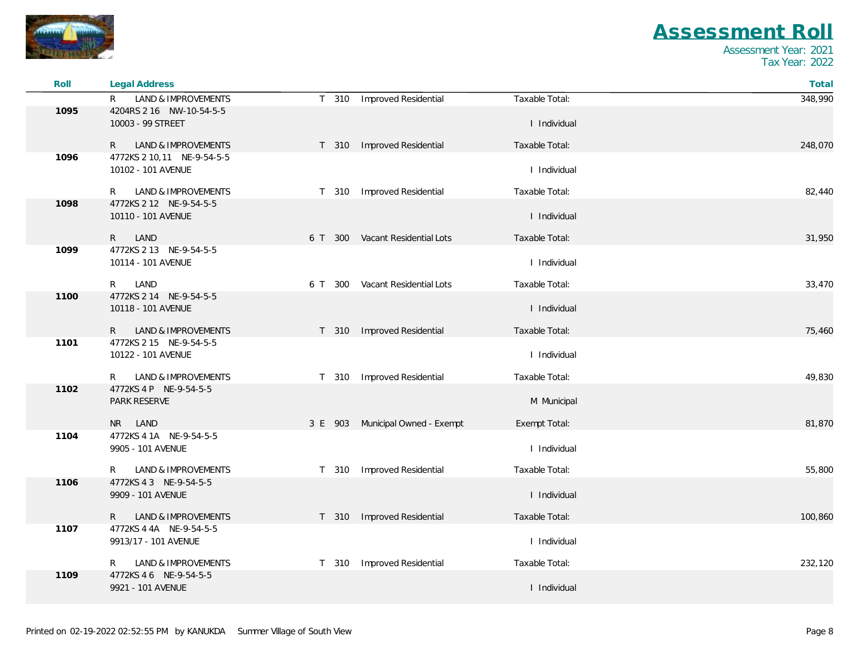

| Roll | Legal Address                                    |                  |                                  |                | Total   |
|------|--------------------------------------------------|------------------|----------------------------------|----------------|---------|
|      | LAND & IMPROVEMENTS<br>R.                        | T 310            | Improved Residential             | Taxable Total: | 348,990 |
| 1095 | 4204RS 2 16 NW-10-54-5-5<br>10003 - 99 STREET    |                  |                                  | I Individual   |         |
|      | LAND & IMPROVEMENTS<br>R                         | T 310            | Improved Residential             | Taxable Total: | 248,070 |
| 1096 | 4772KS 2 10,11 NE-9-54-5-5<br>10102 - 101 AVENUE |                  |                                  | I Individual   |         |
|      | LAND & IMPROVEMENTS<br>R.                        | T 310            | <b>Improved Residential</b>      | Taxable Total: | 82,440  |
| 1098 | 4772KS 2 12 NE-9-54-5-5<br>10110 - 101 AVENUE    |                  |                                  | I Individual   |         |
|      | $\mathsf{R}$<br>LAND                             | 6 T 300          | Vacant Residential Lots          | Taxable Total: | 31,950  |
| 1099 | 4772KS 2 13 NE-9-54-5-5<br>10114 - 101 AVENUE    |                  |                                  | I Individual   |         |
|      | LAND<br>R                                        |                  | 6 T 300 Vacant Residential Lots  | Taxable Total: | 33,470  |
| 1100 | 4772KS 2 14 NE-9-54-5-5<br>10118 - 101 AVENUE    |                  |                                  | I Individual   |         |
|      | LAND & IMPROVEMENTS<br>R                         | T 310            | Improved Residential             | Taxable Total: | 75,460  |
| 1101 | 4772KS 2 15 NE-9-54-5-5<br>10122 - 101 AVENUE    |                  |                                  | I Individual   |         |
|      | LAND & IMPROVEMENTS<br>R.                        | T 310            | Improved Residential             | Taxable Total: | 49,830  |
| 1102 | 4772KS 4 P NE-9-54-5-5<br>PARK RESERVE           |                  |                                  | M Municipal    |         |
|      | NR LAND                                          |                  | 3 E 903 Municipal Owned - Exempt | Exempt Total:  | 81,870  |
| 1104 | 4772KS 4 1A NE-9-54-5-5<br>9905 - 101 AVENUE     |                  |                                  | I Individual   |         |
|      | LAND & IMPROVEMENTS<br>R                         | T 310            | Improved Residential             | Taxable Total: | 55,800  |
| 1106 | 4772KS 4 3 NE-9-54-5-5<br>9909 - 101 AVENUE      |                  |                                  | I Individual   |         |
|      | LAND & IMPROVEMENTS<br>R                         | T 310            | <b>Improved Residential</b>      | Taxable Total: | 100,860 |
| 1107 | 4772KS 4 4A NE-9-54-5-5<br>9913/17 - 101 AVENUE  |                  |                                  | I Individual   |         |
|      | LAND & IMPROVEMENTS<br>R                         | T <sub>310</sub> | Improved Residential             | Taxable Total: | 232,120 |
| 1109 | 4772KS 4 6 NE-9-54-5-5<br>9921 - 101 AVENUE      |                  |                                  | I Individual   |         |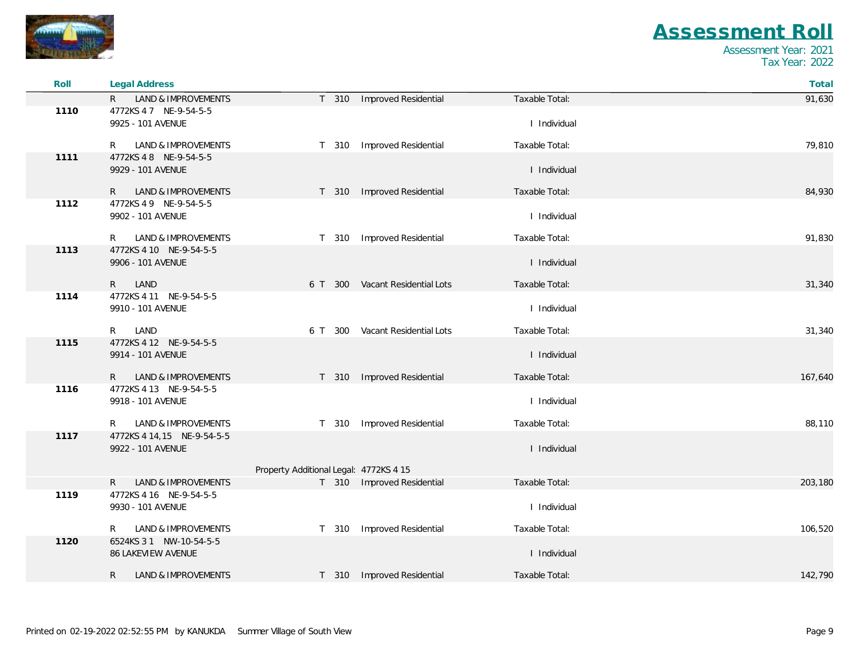

| Roll | <b>Legal Address</b>                       |                                        |                                 |                | Total   |
|------|--------------------------------------------|----------------------------------------|---------------------------------|----------------|---------|
|      | LAND & IMPROVEMENTS<br>R.                  | T 310                                  | Improved Residential            | Taxable Total: | 91,630  |
| 1110 | 4772KS 47 NE-9-54-5-5<br>9925 - 101 AVENUE |                                        |                                 | I Individual   |         |
|      |                                            |                                        |                                 |                |         |
|      | LAND & IMPROVEMENTS<br>R                   | T 310                                  | <b>Improved Residential</b>     | Taxable Total: | 79,810  |
| 1111 | 4772KS 48 NE-9-54-5-5<br>9929 - 101 AVENUE |                                        |                                 | I Individual   |         |
|      | LAND & IMPROVEMENTS<br>R.                  |                                        | T 310 Improved Residential      | Taxable Total: | 84,930  |
| 1112 | 4772KS 49 NE-9-54-5-5                      |                                        |                                 |                |         |
|      | 9902 - 101 AVENUE                          |                                        |                                 | I Individual   |         |
|      | LAND & IMPROVEMENTS<br>R.                  | T 310                                  | Improved Residential            | Taxable Total: | 91,830  |
| 1113 | 4772KS 4 10 NE-9-54-5-5                    |                                        |                                 |                |         |
|      | 9906 - 101 AVENUE                          |                                        |                                 | I Individual   |         |
|      | LAND<br>$\mathsf{R}$                       | 6 T 300                                | Vacant Residential Lots         | Taxable Total: | 31,340  |
| 1114 | 4772KS 4 11 NE-9-54-5-5                    |                                        |                                 |                |         |
|      | 9910 - 101 AVENUE                          |                                        |                                 | I Individual   |         |
|      | LAND<br>R                                  |                                        | 6 T 300 Vacant Residential Lots | Taxable Total: | 31,340  |
| 1115 | 4772KS 4 12 NE-9-54-5-5                    |                                        |                                 |                |         |
|      | 9914 - 101 AVENUE                          |                                        |                                 | I Individual   |         |
|      | <b>LAND &amp; IMPROVEMENTS</b><br>R.       | T 310                                  | Improved Residential            | Taxable Total: | 167,640 |
| 1116 | 4772KS 4 13 NE-9-54-5-5                    |                                        |                                 |                |         |
|      | 9918 - 101 AVENUE                          |                                        |                                 | I Individual   |         |
|      | LAND & IMPROVEMENTS<br>R                   | T 310                                  | Improved Residential            | Taxable Total: | 88,110  |
| 1117 | 4772KS 4 14,15 NE-9-54-5-5                 |                                        |                                 |                |         |
|      | 9922 - 101 AVENUE                          |                                        |                                 | I Individual   |         |
|      |                                            | Property Additional Legal: 4772KS 4 15 |                                 |                |         |
|      | LAND & IMPROVEMENTS<br>R.                  |                                        | T 310 Improved Residential      | Taxable Total: | 203,180 |
| 1119 | 4772KS 4 16 NE-9-54-5-5                    |                                        |                                 |                |         |
|      | 9930 - 101 AVENUE                          |                                        |                                 | I Individual   |         |
|      | <b>LAND &amp; IMPROVEMENTS</b><br>R        |                                        | T 310 Improved Residential      | Taxable Total: | 106,520 |
| 1120 | 6524KS 3 1 NW-10-54-5-5                    |                                        |                                 |                |         |
|      | 86 LAKEVIEW AVENUE                         |                                        |                                 | I Individual   |         |
|      | R<br>LAND & IMPROVEMENTS                   |                                        | T 310 Improved Residential      | Taxable Total: | 142,790 |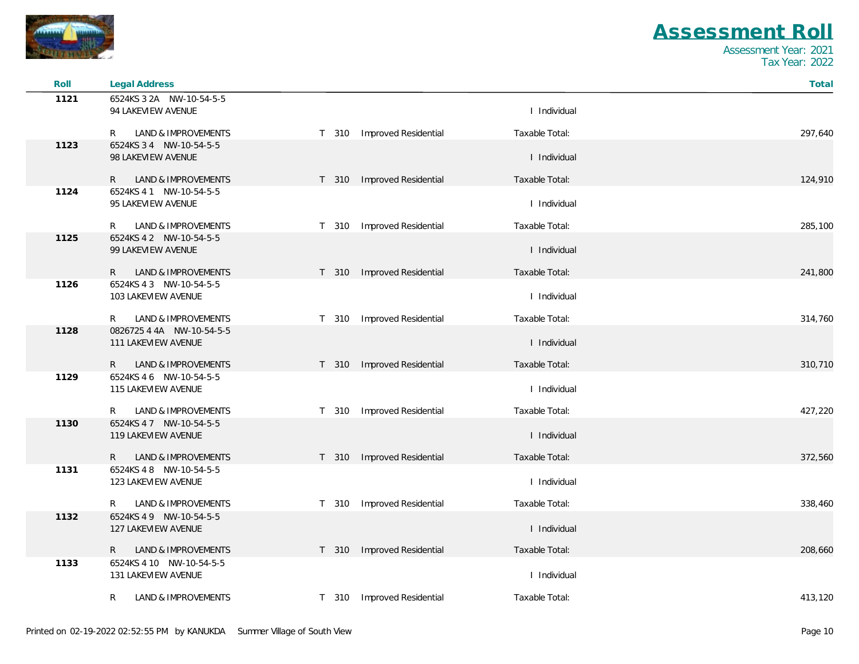

| Roll | <b>Legal Address</b>                |                            |                | Total   |
|------|-------------------------------------|----------------------------|----------------|---------|
| 1121 | 6524KS 3 2A NW-10-54-5-5            |                            |                |         |
|      | 94 LAKEVIEW AVENUE                  |                            | I Individual   |         |
|      | LAND & IMPROVEMENTS<br>R            | T 310 Improved Residential | Taxable Total: | 297,640 |
| 1123 | 6524KS 3 4 NW-10-54-5-5             |                            |                |         |
|      | 98 LAKEVIEW AVENUE                  |                            | I Individual   |         |
|      | LAND & IMPROVEMENTS<br>R            | T 310 Improved Residential | Taxable Total: | 124,910 |
| 1124 | 6524KS 4 1 NW-10-54-5-5             |                            |                |         |
|      | 95 LAKEVIEW AVENUE                  |                            | I Individual   |         |
|      | LAND & IMPROVEMENTS<br>R            | T 310 Improved Residential | Taxable Total: | 285,100 |
| 1125 | 6524KS 4 2 NW-10-54-5-5             |                            |                |         |
|      | 99 LAKEVIEW AVENUE                  |                            | I Individual   |         |
|      | LAND & IMPROVEMENTS<br>R.           | T 310 Improved Residential | Taxable Total: | 241,800 |
| 1126 | 6524KS 4 3 NW-10-54-5-5             |                            |                |         |
|      | 103 LAKEVIEW AVENUE                 |                            | I Individual   |         |
|      | LAND & IMPROVEMENTS<br>R            | T 310 Improved Residential | Taxable Total: | 314,760 |
| 1128 | 0826725 4 4A NW-10-54-5-5           |                            |                |         |
|      | 111 LAKEVIEW AVENUE                 |                            | I Individual   |         |
|      | $\mathsf{R}$<br>LAND & IMPROVEMENTS | T 310 Improved Residential | Taxable Total: | 310,710 |
| 1129 | 6524KS 4 6 NW-10-54-5-5             |                            |                |         |
|      | 115 LAKEVIEW AVENUE                 |                            | I Individual   |         |
|      | LAND & IMPROVEMENTS<br>R            | T 310 Improved Residential | Taxable Total: | 427,220 |
| 1130 | 6524KS 47 NW-10-54-5-5              |                            |                |         |
|      | 119 LAKEVIEW AVENUE                 |                            | I Individual   |         |
|      | LAND & IMPROVEMENTS<br>R            | T 310 Improved Residential | Taxable Total: | 372,560 |
| 1131 | 6524KS 48 NW-10-54-5-5              |                            |                |         |
|      | 123 LAKEVIEW AVENUE                 |                            | I Individual   |         |
|      | R<br>LAND & IMPROVEMENTS            | T 310 Improved Residential | Taxable Total: | 338,460 |
| 1132 | 6524KS 49 NW-10-54-5-5              |                            |                |         |
|      | 127 LAKEVIEW AVENUE                 |                            | I Individual   |         |
|      | LAND & IMPROVEMENTS<br>R.           | T 310 Improved Residential | Taxable Total: | 208,660 |
| 1133 | 6524KS 4 10 NW-10-54-5-5            |                            |                |         |
|      | 131 LAKEVIEW AVENUE                 |                            | I Individual   |         |
|      | R<br>LAND & IMPROVEMENTS            | T 310 Improved Residential | Taxable Total: | 413,120 |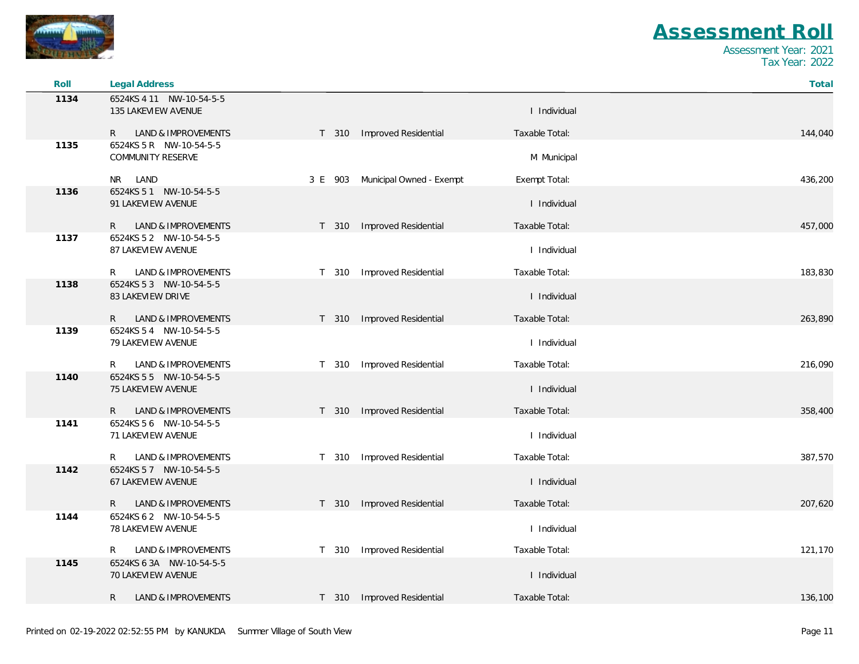

| Roll | Legal Address                                        |       |                                  |                | Total   |
|------|------------------------------------------------------|-------|----------------------------------|----------------|---------|
| 1134 | 6524KS 4 11 NW-10-54-5-5                             |       |                                  |                |         |
|      | 135 LAKEVIEW AVENUE                                  |       |                                  | I Individual   |         |
|      | LAND & IMPROVEMENTS<br>R.                            |       | T 310 Improved Residential       | Taxable Total: | 144,040 |
| 1135 | 6524KS 5 R NW-10-54-5-5                              |       |                                  |                |         |
|      | <b>COMMUNITY RESERVE</b>                             |       |                                  | M Municipal    |         |
|      | NR LAND                                              |       | 3 E 903 Municipal Owned - Exempt | Exempt Total:  | 436,200 |
| 1136 | 6524KS 5 1 NW-10-54-5-5<br>91 LAKEVIEW AVENUE        |       |                                  | I Individual   |         |
|      |                                                      |       |                                  |                |         |
| 1137 | LAND & IMPROVEMENTS<br>R.<br>6524KS 5 2 NW-10-54-5-5 |       | T 310 Improved Residential       | Taxable Total: | 457,000 |
|      | 87 LAKEVIEW AVENUE                                   |       |                                  | I Individual   |         |
|      |                                                      |       |                                  |                |         |
| 1138 | LAND & IMPROVEMENTS<br>R<br>6524KS 5 3 NW-10-54-5-5  |       | T 310 Improved Residential       | Taxable Total: | 183,830 |
|      | 83 LAKEVIEW DRIVE                                    |       |                                  | I Individual   |         |
|      | LAND & IMPROVEMENTS<br>R                             |       | T 310 Improved Residential       | Taxable Total: | 263,890 |
| 1139 | 6524KS 5 4 NW-10-54-5-5                              |       |                                  |                |         |
|      | 79 LAKEVIEW AVENUE                                   |       |                                  | I Individual   |         |
|      | LAND & IMPROVEMENTS<br>R                             |       | T 310 Improved Residential       | Taxable Total: | 216,090 |
| 1140 | 6524KS 5 5 NW-10-54-5-5                              |       |                                  |                |         |
|      | 75 LAKEVIEW AVENUE                                   |       |                                  | I Individual   |         |
|      | R.<br>LAND & IMPROVEMENTS                            |       | T 310 Improved Residential       | Taxable Total: | 358,400 |
| 1141 | 6524KS 5 6 NW-10-54-5-5                              |       |                                  |                |         |
|      | 71 LAKEVIEW AVENUE                                   |       |                                  | I Individual   |         |
|      | LAND & IMPROVEMENTS<br>R                             |       | T 310 Improved Residential       | Taxable Total: | 387,570 |
| 1142 | 6524KS 57 NW-10-54-5-5<br>67 LAKEVIEW AVENUE         |       |                                  | I Individual   |         |
|      |                                                      |       |                                  |                |         |
|      | LAND & IMPROVEMENTS<br>R.                            |       | T 310 Improved Residential       | Taxable Total: | 207,620 |
| 1144 | 6524KS 6 2 NW-10-54-5-5<br>78 LAKEVIEW AVENUE        |       |                                  | I Individual   |         |
|      |                                                      |       |                                  |                |         |
|      | LAND & IMPROVEMENTS<br>R.                            |       | T 310 Improved Residential       | Taxable Total: | 121,170 |
| 1145 | 6524KS 6 3A NW-10-54-5-5<br>70 LAKEVIEW AVENUE       |       |                                  | I Individual   |         |
|      |                                                      |       |                                  |                |         |
|      | R<br>LAND & IMPROVEMENTS                             | T 310 | Improved Residential             | Taxable Total: | 136,100 |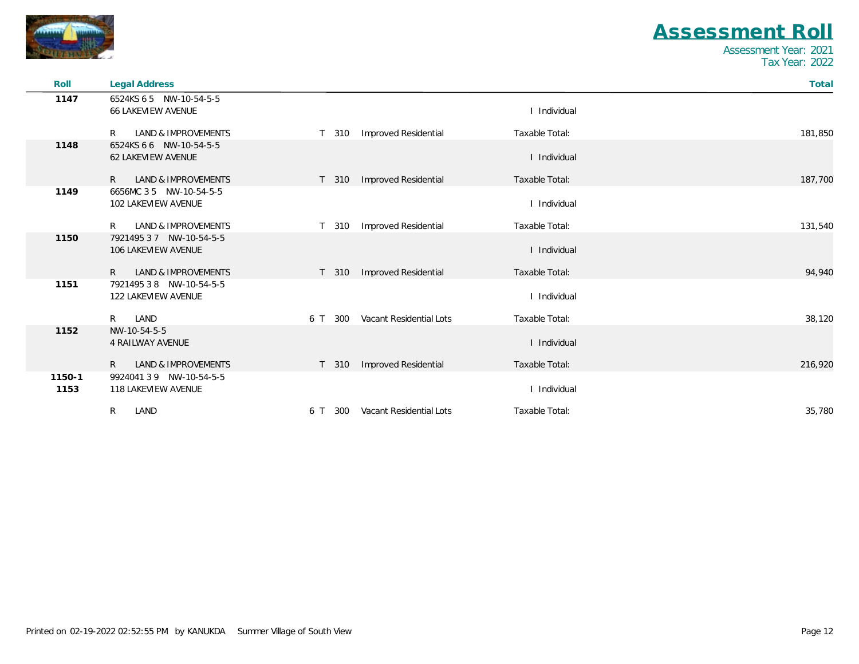

| Roll   | <b>Legal Address</b>                           |                  |                             |                | Total   |
|--------|------------------------------------------------|------------------|-----------------------------|----------------|---------|
| 1147   | 6524KS 6 5 NW-10-54-5-5                        |                  |                             |                |         |
|        | <b>66 LAKEVIEW AVENUE</b>                      |                  |                             | I Individual   |         |
|        | LAND & IMPROVEMENTS<br>R                       | T 310            | Improved Residential        | Taxable Total: | 181,850 |
| 1148   | 6524KS 6 6 NW-10-54-5-5                        |                  |                             |                |         |
|        | <b>62 LAKEVIEW AVENUE</b>                      |                  |                             | I Individual   |         |
|        | <b>LAND &amp; IMPROVEMENTS</b><br>R.           | T 310            | Improved Residential        | Taxable Total: | 187,700 |
| 1149   | 6656MC 3 5 NW-10-54-5-5                        |                  |                             |                |         |
|        | 102 LAKEVIEW AVENUE                            |                  |                             | I Individual   |         |
|        | <b>LAND &amp; IMPROVEMENTS</b><br>R            | T 310            | <b>Improved Residential</b> | Taxable Total: | 131,540 |
| 1150   | 7921495 3 7 NW-10-54-5-5                       |                  |                             |                |         |
|        | 106 LAKEVIEW AVENUE                            |                  |                             | I Individual   |         |
|        | LAND & IMPROVEMENTS<br>$R_{\parallel}$         | T <sub>310</sub> | Improved Residential        | Taxable Total: | 94,940  |
| 1151   | 7921495 3 8 NW-10-54-5-5                       |                  |                             |                |         |
|        | 122 LAKEVIEW AVENUE                            |                  |                             | I Individual   |         |
|        | LAND<br>$R_{\parallel}$                        | 300<br>6 T       | Vacant Residential Lots     | Taxable Total: | 38,120  |
| 1152   | NW-10-54-5-5                                   |                  |                             |                |         |
|        | <b>4 RAILWAY AVENUE</b>                        |                  |                             | I Individual   |         |
|        | $\mathsf{R}$<br><b>LAND &amp; IMPROVEMENTS</b> | T 310            | Improved Residential        | Taxable Total: | 216,920 |
| 1150-1 | 992404139 NW-10-54-5-5                         |                  |                             |                |         |
| 1153   | 118 LAKEVIEW AVENUE                            |                  |                             | I Individual   |         |
|        | R<br>LAND                                      | 300<br>6 T       | Vacant Residential Lots     | Taxable Total: | 35,780  |